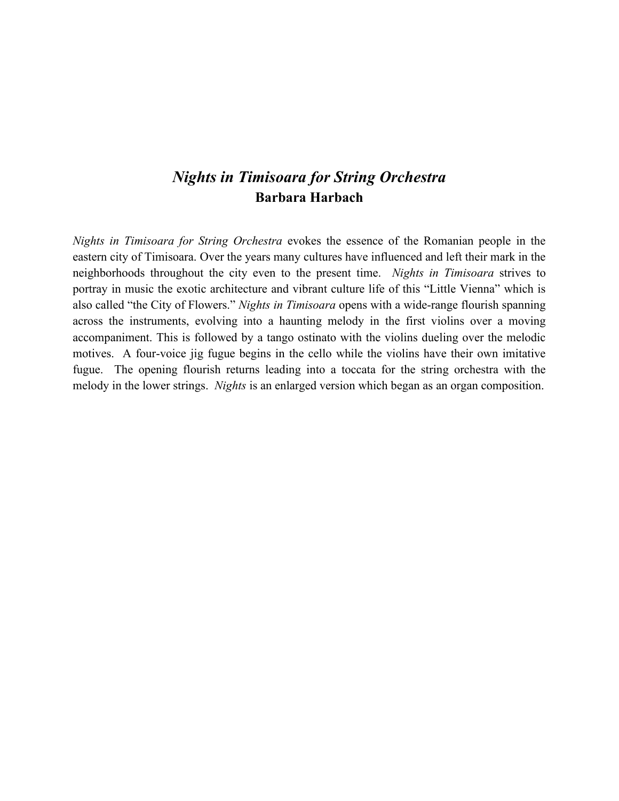## *Nights in Timisoara for String Orchestra* **Barbara Harbach**

*Nights in Timisoara for String Orchestra* evokes the essence of the Romanian people in the eastern city of Timisoara. Over the years many cultures have influenced and left their mark in the neighborhoods throughout the city even to the present time. *Nights in Timisoara* strives to portray in music the exotic architecture and vibrant culture life of this "Little Vienna" which is also called "the City of Flowers." *Nights in Timisoara* opens with a wide-range flourish spanning across the instruments, evolving into a haunting melody in the first violins over a moving accompaniment. This is followed by a tango ostinato with the violins dueling over the melodic motives. A four-voice jig fugue begins in the cello while the violins have their own imitative fugue. The opening flourish returns leading into a toccata for the string orchestra with the melody in the lower strings. *Nights* is an enlarged version which began as an organ composition.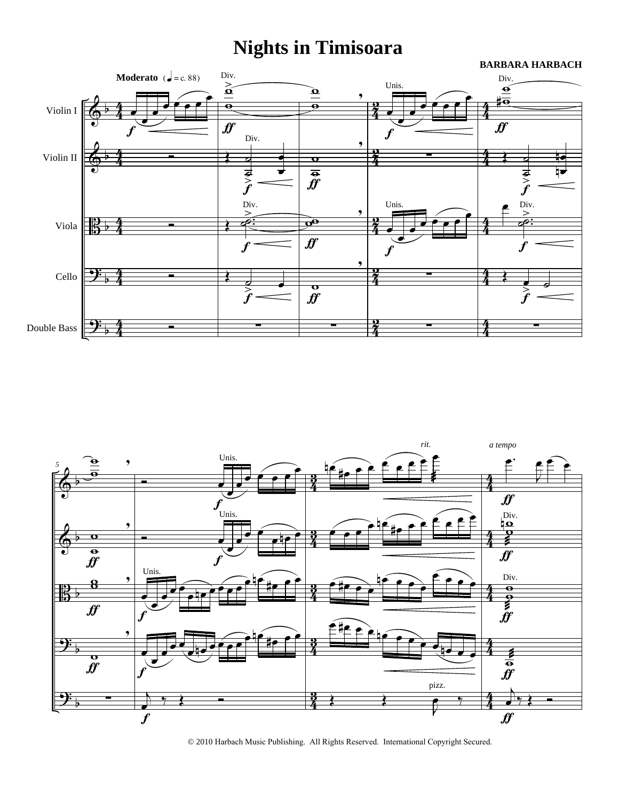## **Nights in Timisoara**





© 2010 Harbach Music Publishing. All Rights Reserved. International Copyright Secured.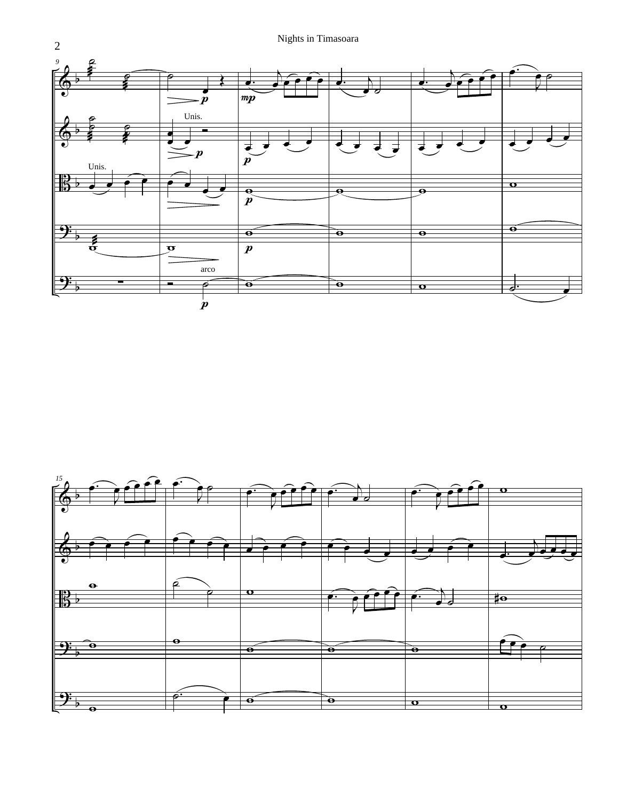

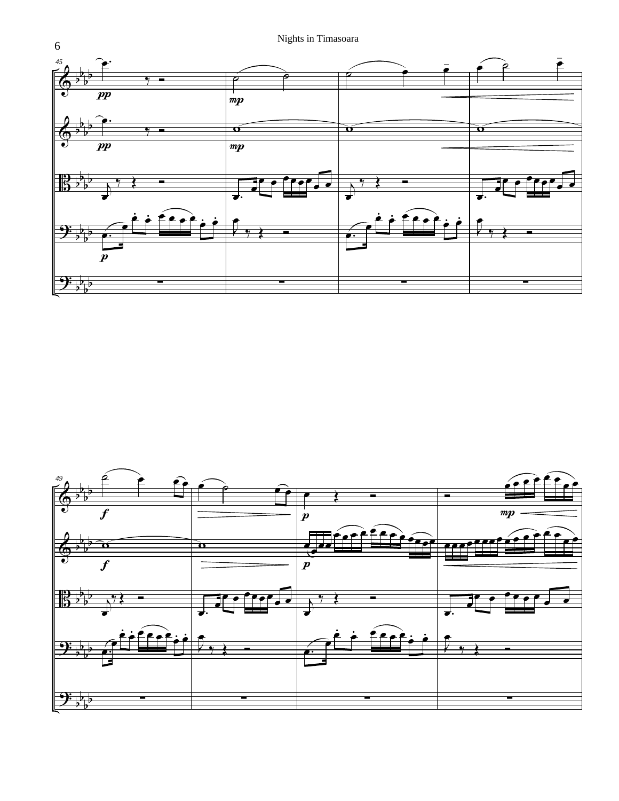